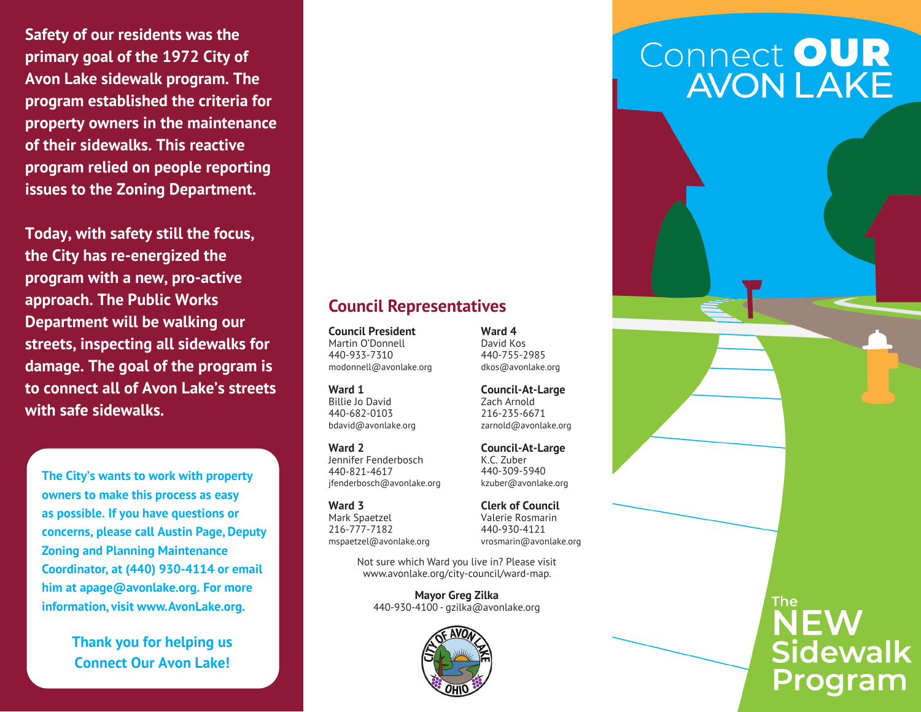**Safety of our residents was the primary goal of the 1972 City of Avon Lake sidewalk program. The program established the criteria for property owners in the maintenance of their sidewalks. This reactive program relied on people reporting issues to the Zoning Department.**

**Today, with safety still the focus, the City has re-energized the program with a new, pro-active approach. The Public Works Department will be walking our streets, inspecting all sidewalks for damage. The goal of the program is to connect all of Avon Lake's streets with safe sidewalks.**

**The City's wants to work with property owners to make this process as easy as possible. If you have questions or concerns, please call Austin Page, Deputy Zoning and Planning Maintenance Coordinator, at (440) 930-4114 or email him at apage@avonlake.org. For more information, visit www.AvonLake.org.**

> **Thank you for helping us Connect Our Avon Lake!**

#### **Council Representatives**

**Council President** Martin O'Donnell 440-933-7310 modonnell@avonlake.org

**Ward 1**  Billie Jo David 440-682-0103 bdavid@avonlake.org

**Ward 2** Jennifer Fenderbosch 440-821-4617 jfenderbosch@avonlake.org

**Ward 3** Mark Spaetzel 216-777-7182 mspaetzel@avonlake.org

> Not sure which Ward you live in? Please visit www.avonlake.org/city-council/ward-map.

**Mayor Greg Zilka** 440-930-4100 - gzilka@avonlake.org



# Connect OUR<br>AVON LAKE



**Council-At-Large** Zach Arnold 216-235-6671 zarnold@avonlake.org

**Ward 4** David Kos 440-755-2985 dkos@avonlake.org

**Council-At-Large** K.C. Zuber 440-309-5940 kzuber@avonlake.org

**Clerk of Council** Valerie Rosmarin 440-930-4121 vrosmarin@avonlake.org

> The: **NEW Sidewalk** Program